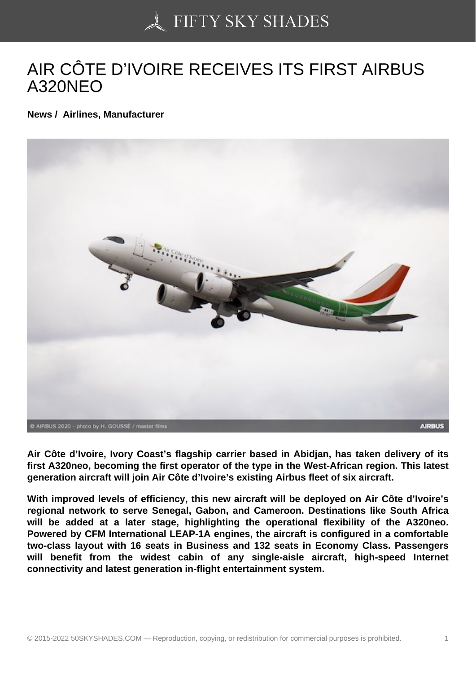## [AIR CÔTE D'IVOIRE R](https://50skyshades.com)ECEIVES ITS FIRST AIRBUS A320NEO

News / Airlines, Manufacturer

Air Côte d'Ivoire, Ivory Coast's flagship carrier based in Abidjan, has taken delivery of its first A320neo, becoming the first operator of the type in the West-African region. This latest generation aircraft will join Air Côte d'Ivoire's existing Airbus fleet of six aircraft.

With improved levels of efficiency, this new aircraft will be deployed on Air Côte d'Ivoire's regional network to serve Senegal, Gabon, and Cameroon. Destinations like South Africa will be added at a later stage, highlighting the operational flexibility of the A320neo. Powered by CFM International LEAP-1A engines, the aircraft is configured in a comfortable two-class layout with 16 seats in Business and 132 seats in Economy Class. Passengers will benefit from the widest cabin of any single-aisle aircraft, high-speed Internet connectivity and latest generation in-flight entertainment system.